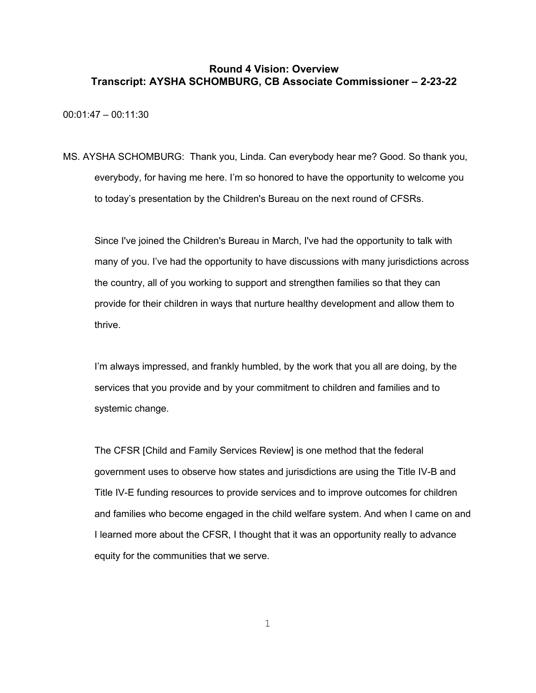00:01:47 – 00:11:30

MS. AYSHA SCHOMBURG: Thank you, Linda. Can everybody hear me? Good. So thank you, everybody, for having me here. I'm so honored to have the opportunity to welcome you to today's presentation by the Children's Bureau on the next round of CFSRs.

Since I've joined the Children's Bureau in March, I've had the opportunity to talk with many of you. I've had the opportunity to have discussions with many jurisdictions across the country, all of you working to support and strengthen families so that they can provide for their children in ways that nurture healthy development and allow them to thrive.

I'm always impressed, and frankly humbled, by the work that you all are doing, by the services that you provide and by your commitment to children and families and to systemic change.

The CFSR [Child and Family Services Review] is one method that the federal government uses to observe how states and jurisdictions are using the Title IV-B and Title IV-E funding resources to provide services and to improve outcomes for children and families who become engaged in the child welfare system. And when I came on and I learned more about the CFSR, I thought that it was an opportunity really to advance equity for the communities that we serve.

1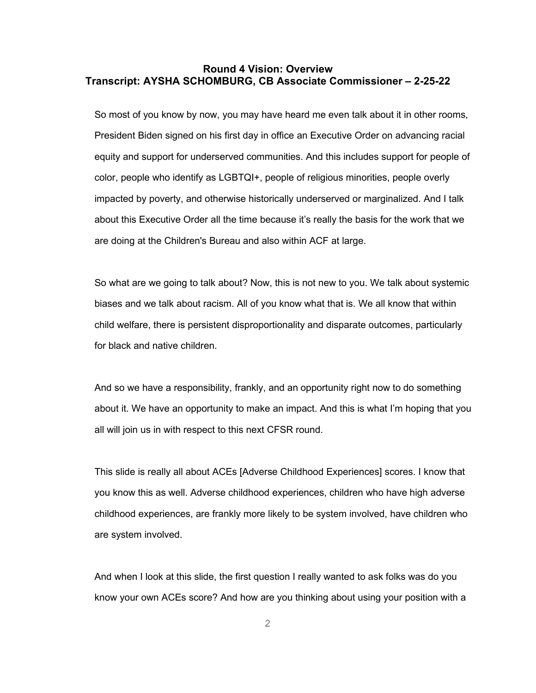So most of you know by now, you may have heard me even talk about it in other rooms, President Biden signed on his first day in office an Executive Order on advancing racial equity and support for underserved communities. And this includes support for people of color, people who identify as LGBTQI+, people of religious minorities, people overly impacted by poverty, and otherwise historically underserved or marginalized. And I talk about this Executive Order all the time because it's really the basis for the work that we are doing at the Children's Bureau and also within ACF at large.

So what are we going to talk about? Now, this is not new to you. We talk about systemic biases and we talk about racism. All of you know what that is. We all know that within child welfare, there is persistent disproportionality and disparate outcomes, particularly for black and native children.

And so we have a responsibility, frankly, and an opportunity right now to do something about it. We have an opportunity to make an impact. And this is what I'm hoping that you all will join us in with respect to this next CFSR round.

This slide is really all about ACEs [Adverse Childhood Experiences] scores. I know that you know this as well. Adverse childhood experiences, children who have high adverse childhood experiences, are frankly more likely to be system involved, have children who are system involved.

And when I look at this slide, the first question I really wanted to ask folks was do you know your own ACEs score? And how are you thinking about using your position with a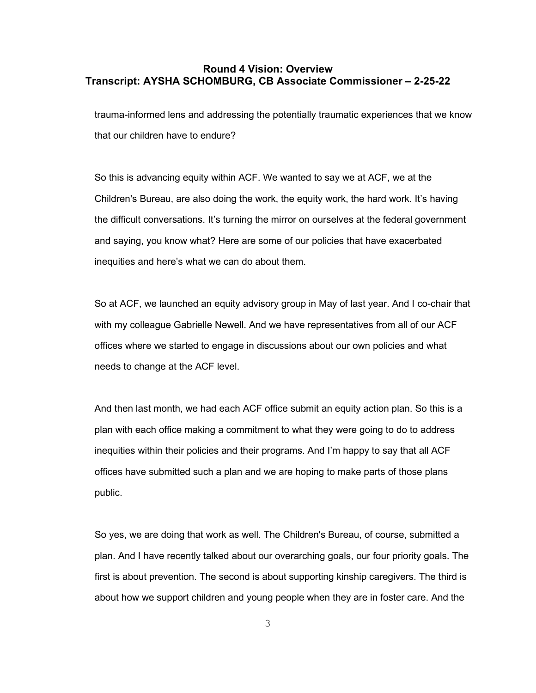trauma-informed lens and addressing the potentially traumatic experiences that we know that our children have to endure?

So this is advancing equity within ACF. We wanted to say we at ACF, we at the Children's Bureau, are also doing the work, the equity work, the hard work. It's having the difficult conversations. It's turning the mirror on ourselves at the federal government and saying, you know what? Here are some of our policies that have exacerbated inequities and here's what we can do about them.

So at ACF, we launched an equity advisory group in May of last year. And I co-chair that with my colleague Gabrielle Newell. And we have representatives from all of our ACF offices where we started to engage in discussions about our own policies and what needs to change at the ACF level.

And then last month, we had each ACF office submit an equity action plan. So this is a plan with each office making a commitment to what they were going to do to address inequities within their policies and their programs. And I'm happy to say that all ACF offices have submitted such a plan and we are hoping to make parts of those plans public.

So yes, we are doing that work as well. The Children's Bureau, of course, submitted a plan. And I have recently talked about our overarching goals, our four priority goals. The first is about prevention. The second is about supporting kinship caregivers. The third is about how we support children and young people when they are in foster care. And the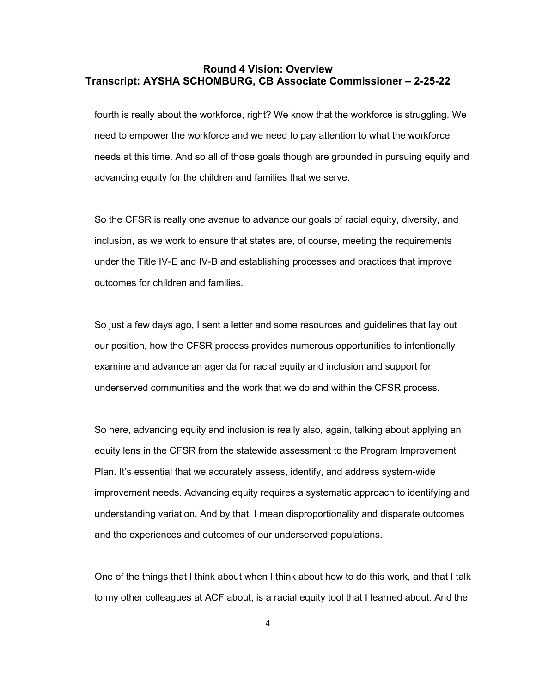fourth is really about the workforce, right? We know that the workforce is struggling. We need to empower the workforce and we need to pay attention to what the workforce needs at this time. And so all of those goals though are grounded in pursuing equity and advancing equity for the children and families that we serve.

So the CFSR is really one avenue to advance our goals of racial equity, diversity, and inclusion, as we work to ensure that states are, of course, meeting the requirements under the Title IV-E and IV-B and establishing processes and practices that improve outcomes for children and families.

So just a few days ago, I sent a letter and some resources and guidelines that lay out our position, how the CFSR process provides numerous opportunities to intentionally examine and advance an agenda for racial equity and inclusion and support for underserved communities and the work that we do and within the CFSR process.

So here, advancing equity and inclusion is really also, again, talking about applying an equity lens in the CFSR from the statewide assessment to the Program Improvement Plan. It's essential that we accurately assess, identify, and address system-wide improvement needs. Advancing equity requires a systematic approach to identifying and understanding variation. And by that, I mean disproportionality and disparate outcomes and the experiences and outcomes of our underserved populations.

One of the things that I think about when I think about how to do this work, and that I talk to my other colleagues at ACF about, is a racial equity tool that I learned about. And the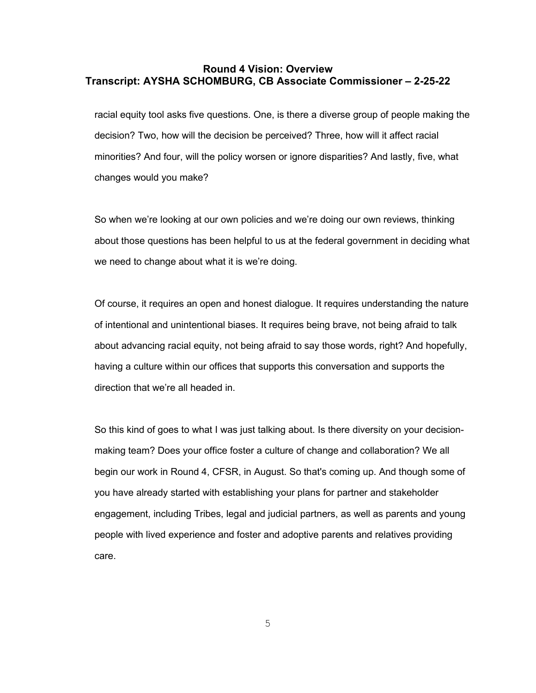racial equity tool asks five questions. One, is there a diverse group of people making the decision? Two, how will the decision be perceived? Three, how will it affect racial minorities? And four, will the policy worsen or ignore disparities? And lastly, five, what changes would you make?

So when we're looking at our own policies and we're doing our own reviews, thinking about those questions has been helpful to us at the federal government in deciding what we need to change about what it is we're doing.

Of course, it requires an open and honest dialogue. It requires understanding the nature of intentional and unintentional biases. It requires being brave, not being afraid to talk about advancing racial equity, not being afraid to say those words, right? And hopefully, having a culture within our offices that supports this conversation and supports the direction that we're all headed in.

So this kind of goes to what I was just talking about. Is there diversity on your decisionmaking team? Does your office foster a culture of change and collaboration? We all begin our work in Round 4, CFSR, in August. So that's coming up. And though some of you have already started with establishing your plans for partner and stakeholder engagement, including Tribes, legal and judicial partners, as well as parents and young people with lived experience and foster and adoptive parents and relatives providing care.

5